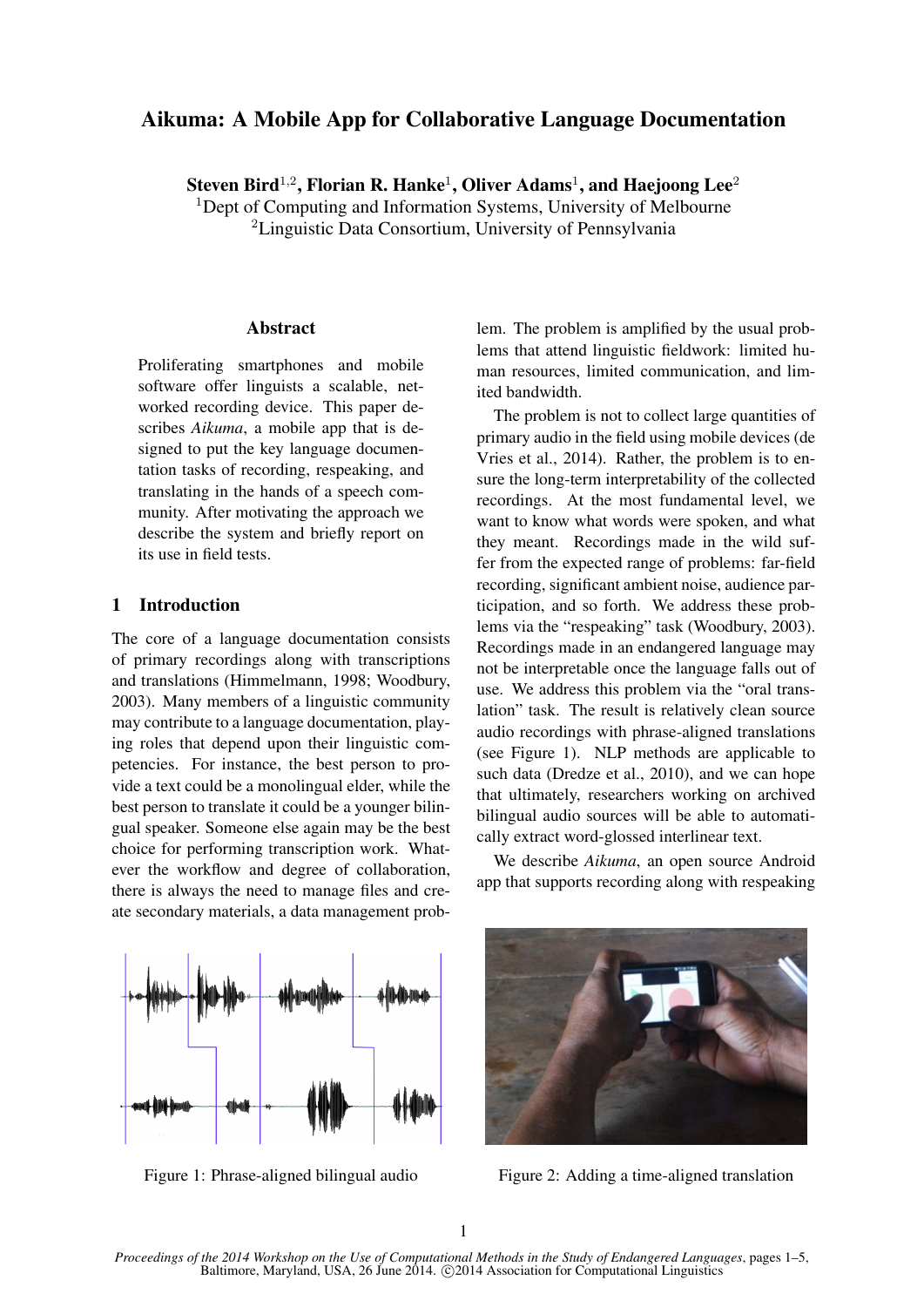# Aikuma: A Mobile App for Collaborative Language Documentation

Steven Bird<sup>1,2</sup>, Florian R. Hanke<sup>1</sup>, Oliver Adams<sup>1</sup>, and Haejoong Lee<sup>2</sup>

<sup>1</sup>Dept of Computing and Information Systems, University of Melbourne <sup>2</sup>Linguistic Data Consortium, University of Pennsylvania

### **Abstract**

Proliferating smartphones and mobile software offer linguists a scalable, networked recording device. This paper describes *Aikuma*, a mobile app that is designed to put the key language documentation tasks of recording, respeaking, and translating in the hands of a speech community. After motivating the approach we describe the system and briefly report on its use in field tests.

## 1 Introduction

The core of a language documentation consists of primary recordings along with transcriptions and translations (Himmelmann, 1998; Woodbury, 2003). Many members of a linguistic community may contribute to a language documentation, playing roles that depend upon their linguistic competencies. For instance, the best person to provide a text could be a monolingual elder, while the best person to translate it could be a younger bilingual speaker. Someone else again may be the best choice for performing transcription work. Whatever the workflow and degree of collaboration, there is always the need to manage files and create secondary materials, a data management problem. The problem is amplified by the usual problems that attend linguistic fieldwork: limited human resources, limited communication, and limited bandwidth.

The problem is not to collect large quantities of primary audio in the field using mobile devices (de Vries et al., 2014). Rather, the problem is to ensure the long-term interpretability of the collected recordings. At the most fundamental level, we want to know what words were spoken, and what they meant. Recordings made in the wild suffer from the expected range of problems: far-field recording, significant ambient noise, audience participation, and so forth. We address these problems via the "respeaking" task (Woodbury, 2003). Recordings made in an endangered language may not be interpretable once the language falls out of use. We address this problem via the "oral translation" task. The result is relatively clean source audio recordings with phrase-aligned translations (see Figure 1). NLP methods are applicable to such data (Dredze et al., 2010), and we can hope that ultimately, researchers working on archived bilingual audio sources will be able to automatically extract word-glossed interlinear text.

We describe *Aikuma*, an open source Android app that supports recording along with respeaking



Figure 1: Phrase-aligned bilingual audio



Figure 2: Adding a time-aligned translation

1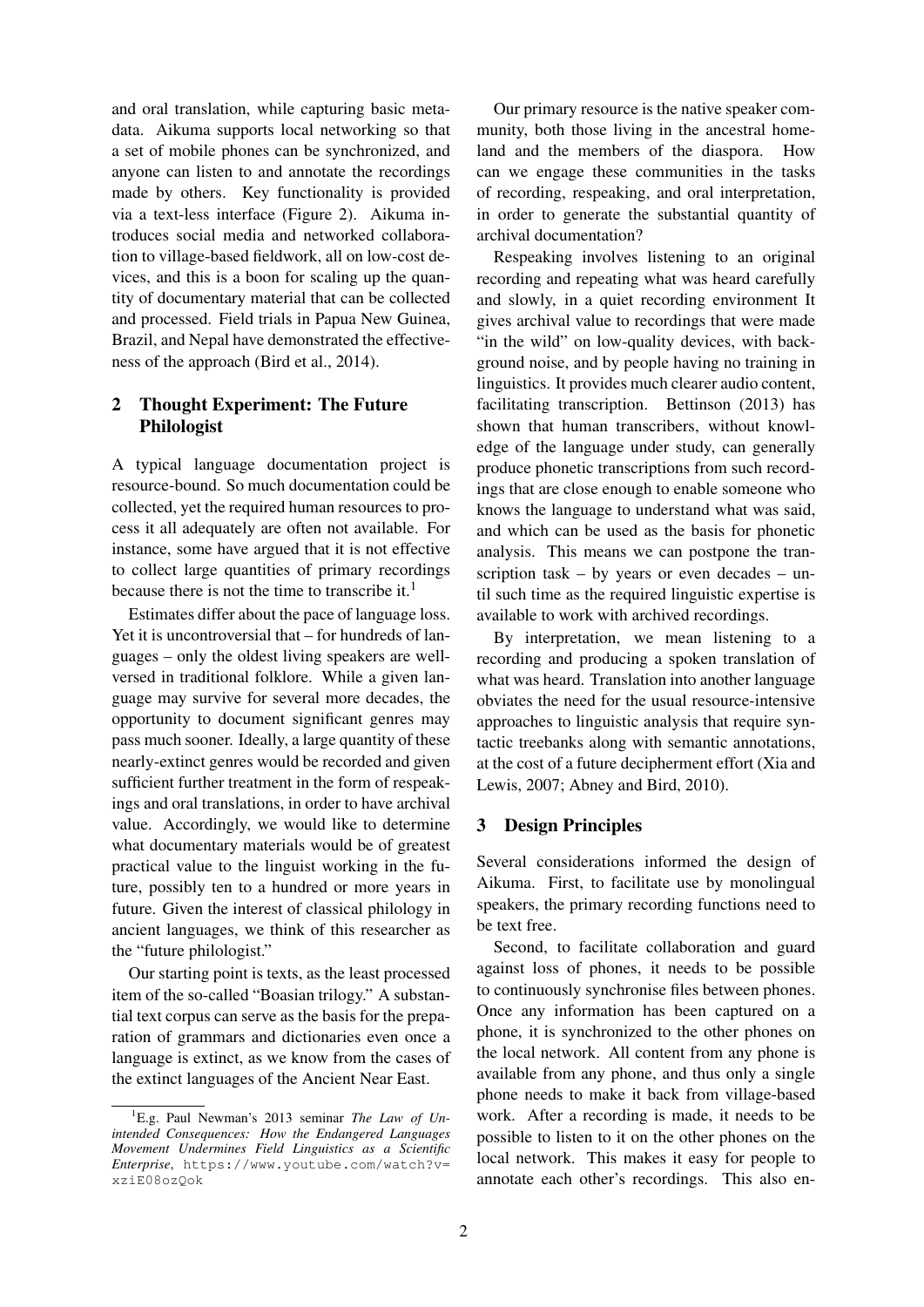and oral translation, while capturing basic metadata. Aikuma supports local networking so that a set of mobile phones can be synchronized, and anyone can listen to and annotate the recordings made by others. Key functionality is provided via a text-less interface (Figure 2). Aikuma introduces social media and networked collaboration to village-based fieldwork, all on low-cost devices, and this is a boon for scaling up the quantity of documentary material that can be collected and processed. Field trials in Papua New Guinea, Brazil, and Nepal have demonstrated the effectiveness of the approach (Bird et al., 2014).

## 2 Thought Experiment: The Future Philologist

A typical language documentation project is resource-bound. So much documentation could be collected, yet the required human resources to process it all adequately are often not available. For instance, some have argued that it is not effective to collect large quantities of primary recordings because there is not the time to transcribe it. $<sup>1</sup>$ </sup>

Estimates differ about the pace of language loss. Yet it is uncontroversial that – for hundreds of languages – only the oldest living speakers are wellversed in traditional folklore. While a given language may survive for several more decades, the opportunity to document significant genres may pass much sooner. Ideally, a large quantity of these nearly-extinct genres would be recorded and given sufficient further treatment in the form of respeakings and oral translations, in order to have archival value. Accordingly, we would like to determine what documentary materials would be of greatest practical value to the linguist working in the future, possibly ten to a hundred or more years in future. Given the interest of classical philology in ancient languages, we think of this researcher as the "future philologist."

Our starting point is texts, as the least processed item of the so-called "Boasian trilogy." A substantial text corpus can serve as the basis for the preparation of grammars and dictionaries even once a language is extinct, as we know from the cases of the extinct languages of the Ancient Near East.

Our primary resource is the native speaker community, both those living in the ancestral homeland and the members of the diaspora. How can we engage these communities in the tasks of recording, respeaking, and oral interpretation, in order to generate the substantial quantity of archival documentation?

Respeaking involves listening to an original recording and repeating what was heard carefully and slowly, in a quiet recording environment It gives archival value to recordings that were made "in the wild" on low-quality devices, with background noise, and by people having no training in linguistics. It provides much clearer audio content, facilitating transcription. Bettinson (2013) has shown that human transcribers, without knowledge of the language under study, can generally produce phonetic transcriptions from such recordings that are close enough to enable someone who knows the language to understand what was said, and which can be used as the basis for phonetic analysis. This means we can postpone the transcription task – by years or even decades – until such time as the required linguistic expertise is available to work with archived recordings.

By interpretation, we mean listening to a recording and producing a spoken translation of what was heard. Translation into another language obviates the need for the usual resource-intensive approaches to linguistic analysis that require syntactic treebanks along with semantic annotations, at the cost of a future decipherment effort (Xia and Lewis, 2007; Abney and Bird, 2010).

## 3 Design Principles

Several considerations informed the design of Aikuma. First, to facilitate use by monolingual speakers, the primary recording functions need to be text free.

Second, to facilitate collaboration and guard against loss of phones, it needs to be possible to continuously synchronise files between phones. Once any information has been captured on a phone, it is synchronized to the other phones on the local network. All content from any phone is available from any phone, and thus only a single phone needs to make it back from village-based work. After a recording is made, it needs to be possible to listen to it on the other phones on the local network. This makes it easy for people to annotate each other's recordings. This also en-

<sup>1</sup>E.g. Paul Newman's 2013 seminar *The Law of Unintended Consequences: How the Endangered Languages Movement Undermines Field Linguistics as a Scientific Enterprise*, https://www.youtube.com/watch?v= xziE08ozQok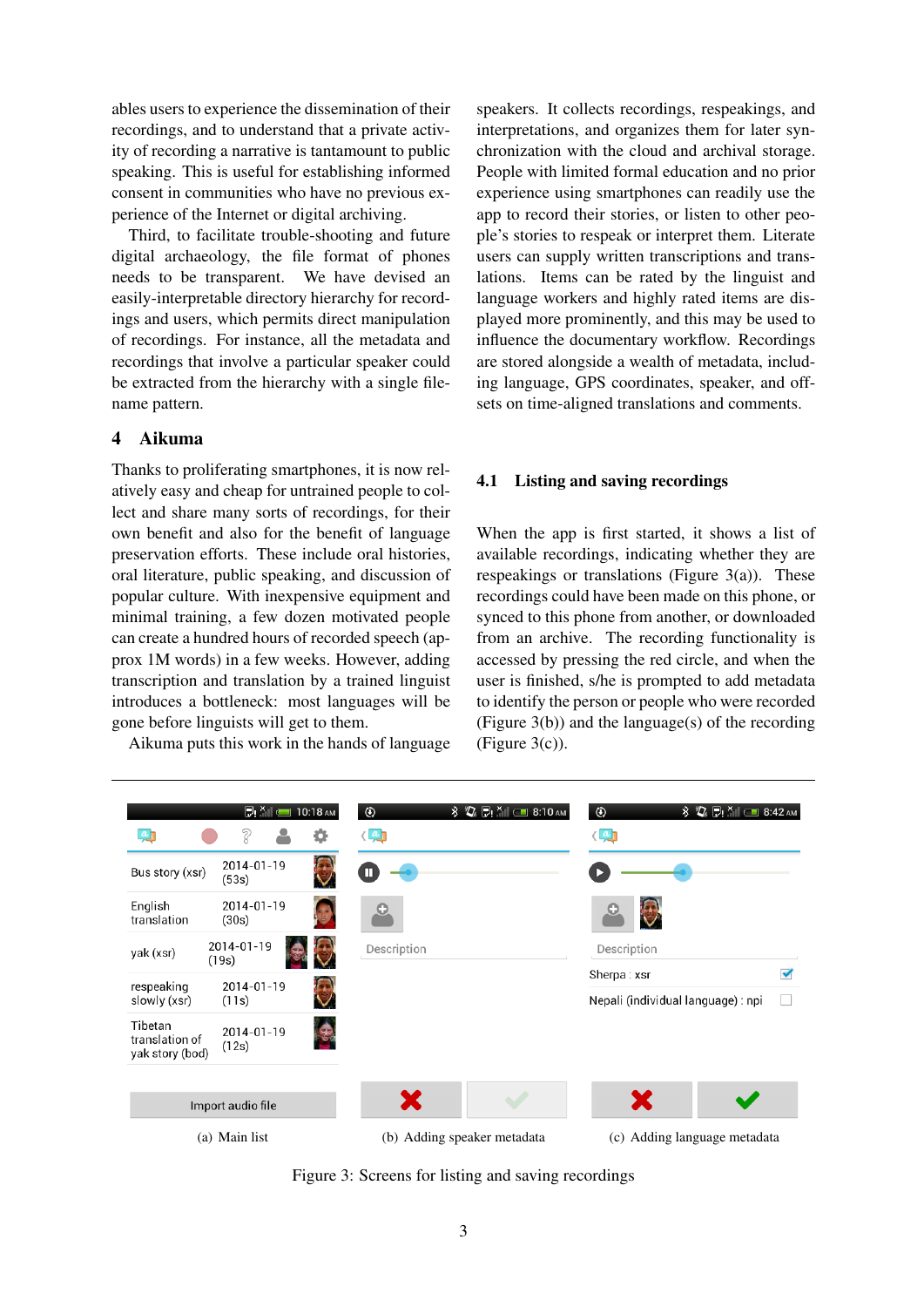ables users to experience the dissemination of their recordings, and to understand that a private activity of recording a narrative is tantamount to public speaking. This is useful for establishing informed consent in communities who have no previous experience of the Internet or digital archiving.

Third, to facilitate trouble-shooting and future digital archaeology, the file format of phones needs to be transparent. We have devised an easily-interpretable directory hierarchy for recordings and users, which permits direct manipulation of recordings. For instance, all the metadata and recordings that involve a particular speaker could be extracted from the hierarchy with a single filename pattern.

### 4 Aikuma

Thanks to proliferating smartphones, it is now relatively easy and cheap for untrained people to collect and share many sorts of recordings, for their own benefit and also for the benefit of language preservation efforts. These include oral histories, oral literature, public speaking, and discussion of popular culture. With inexpensive equipment and minimal training, a few dozen motivated people can create a hundred hours of recorded speech (approx 1M words) in a few weeks. However, adding transcription and translation by a trained linguist introduces a bottleneck: most languages will be gone before linguists will get to them.

Aikuma puts this work in the hands of language

speakers. It collects recordings, respeakings, and interpretations, and organizes them for later synchronization with the cloud and archival storage. People with limited formal education and no prior experience using smartphones can readily use the app to record their stories, or listen to other people's stories to respeak or interpret them. Literate users can supply written transcriptions and translations. Items can be rated by the linguist and language workers and highly rated items are displayed more prominently, and this may be used to influence the documentary workflow. Recordings are stored alongside a wealth of metadata, including language, GPS coordinates, speaker, and offsets on time-aligned translations and comments.

#### 4.1 Listing and saving recordings

When the app is first started, it shows a list of available recordings, indicating whether they are respeakings or translations (Figure 3(a)). These recordings could have been made on this phone, or synced to this phone from another, or downloaded from an archive. The recording functionality is accessed by pressing the red circle, and when the user is finished, s/he is prompted to add metadata to identify the person or people who were recorded (Figure 3(b)) and the language(s) of the recording  $(Figure 3(c))$ .



Figure 3: Screens for listing and saving recordings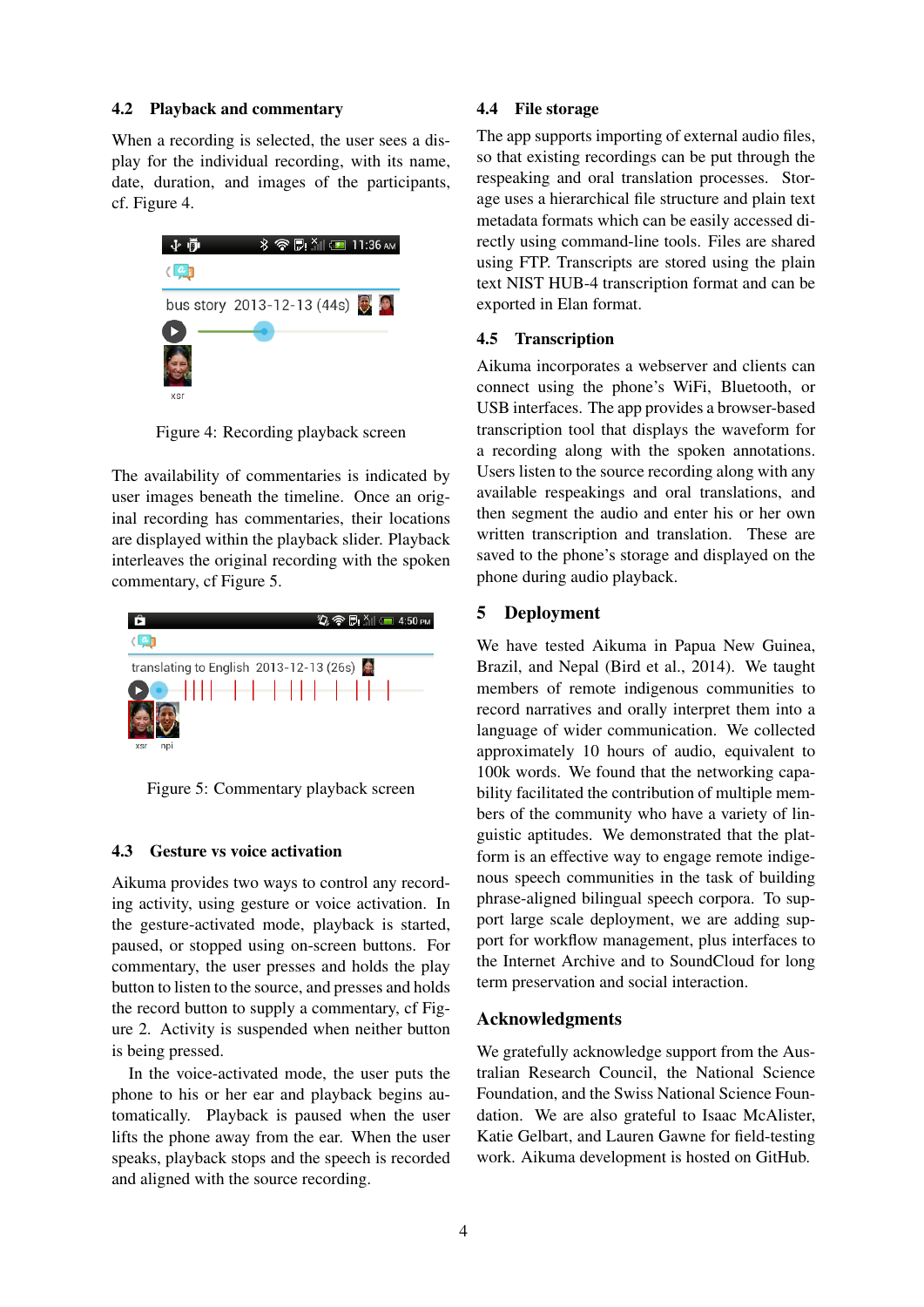#### 4.2 Playback and commentary

When a recording is selected, the user sees a display for the individual recording, with its name, date, duration, and images of the participants, cf. Figure 4.



Figure 4: Recording playback screen

The availability of commentaries is indicated by user images beneath the timeline. Once an original recording has commentaries, their locations are displayed within the playback slider. Playback interleaves the original recording with the spoken commentary, cf Figure 5.



Figure 5: Commentary playback screen

#### 4.3 Gesture vs voice activation

Aikuma provides two ways to control any recording activity, using gesture or voice activation. In the gesture-activated mode, playback is started, paused, or stopped using on-screen buttons. For commentary, the user presses and holds the play button to listen to the source, and presses and holds the record button to supply a commentary, cf Figure 2. Activity is suspended when neither button is being pressed.

In the voice-activated mode, the user puts the phone to his or her ear and playback begins automatically. Playback is paused when the user lifts the phone away from the ear. When the user speaks, playback stops and the speech is recorded and aligned with the source recording.

#### 4.4 File storage

The app supports importing of external audio files, so that existing recordings can be put through the respeaking and oral translation processes. Storage uses a hierarchical file structure and plain text metadata formats which can be easily accessed directly using command-line tools. Files are shared using FTP. Transcripts are stored using the plain text NIST HUB-4 transcription format and can be exported in Elan format.

#### 4.5 Transcription

Aikuma incorporates a webserver and clients can connect using the phone's WiFi, Bluetooth, or USB interfaces. The app provides a browser-based transcription tool that displays the waveform for a recording along with the spoken annotations. Users listen to the source recording along with any available respeakings and oral translations, and then segment the audio and enter his or her own written transcription and translation. These are saved to the phone's storage and displayed on the phone during audio playback.

#### 5 Deployment

We have tested Aikuma in Papua New Guinea, Brazil, and Nepal (Bird et al., 2014). We taught members of remote indigenous communities to record narratives and orally interpret them into a language of wider communication. We collected approximately 10 hours of audio, equivalent to 100k words. We found that the networking capability facilitated the contribution of multiple members of the community who have a variety of linguistic aptitudes. We demonstrated that the platform is an effective way to engage remote indigenous speech communities in the task of building phrase-aligned bilingual speech corpora. To support large scale deployment, we are adding support for workflow management, plus interfaces to the Internet Archive and to SoundCloud for long term preservation and social interaction.

### Acknowledgments

We gratefully acknowledge support from the Australian Research Council, the National Science Foundation, and the Swiss National Science Foundation. We are also grateful to Isaac McAlister, Katie Gelbart, and Lauren Gawne for field-testing work. Aikuma development is hosted on GitHub.